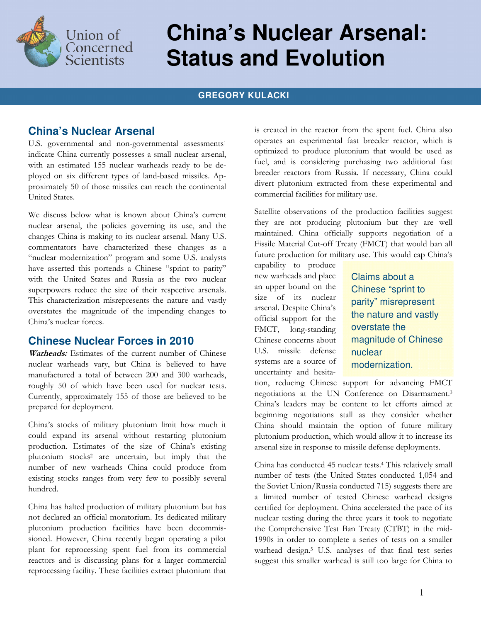

# **China's Nuclear Arsenal: Status and Evolution**

#### **GREGORY KULACKI**

### **China's Nuclear Arsenal**

U.S. governmental and non-governmental assessments<sup>1</sup> indicate China currently possesses a small nuclear arsenal, with an estimated 155 nuclear warheads ready to be deployed on six different types of land-based missiles. Approximately 50 of those missiles can reach the continental United States.

We discuss below what is known about China's current nuclear arsenal, the policies governing its use, and the changes China is making to its nuclear arsenal. Many U.S. commentators have characterized these changes as a "nuclear modernization" program and some U.S. analysts have asserted this portends a Chinese "sprint to parity" with the United States and Russia as the two nuclear superpowers reduce the size of their respective arsenals. This characterization misrepresents the nature and vastly overstates the magnitude of the impending changes to China's nuclear forces.

#### **Chinese Nuclear Forces in 2010**

Warheads: Estimates of the current number of Chinese nuclear warheads vary, but China is believed to have manufactured a total of between 200 and 300 warheads, roughly 50 of which have been used for nuclear tests. Currently, approximately 155 of those are believed to be prepared for deployment.

China's stocks of military plutonium limit how much it could expand its arsenal without restarting plutonium production. Estimates of the size of China's existing plutonium stocks<sup>2</sup> are uncertain, but imply that the number of new warheads China could produce from existing stocks ranges from very few to possibly several hundred.

China has halted production of military plutonium but has not declared an official moratorium. Its dedicated military plutonium production facilities have been decommissioned. However, China recently began operating a pilot plant for reprocessing spent fuel from its commercial reactors and is discussing plans for a larger commercial reprocessing facility. These facilities extract plutonium that

is created in the reactor from the spent fuel. China also operates an experimental fast breeder reactor, which is optimized to produce plutonium that would be used as fuel, and is considering purchasing two additional fast breeder reactors from Russia. If necessary, China could divert plutonium extracted from these experimental and commercial facilities for military use.

Satellite observations of the production facilities suggest they are not producing plutonium but they are well maintained. China officially supports negotiation of a Fissile Material Cut-off Treaty (FMCT) that would ban all future production for military use. This would cap China's

capability to produce new warheads and place an upper bound on the size of its nuclear arsenal. Despite China's official support for the FMCT, long-standing Chinese concerns about U.S. missile defense systems are a source of uncertainty and hesita-

Claims about a Chinese "sprint to parity" misrepresent the nature and vastly overstate the magnitude of Chinese nuclear modernization.

tion, reducing Chinese support for advancing FMCT negotiations at the UN Conference on Disarmament.<sup>3</sup> China's leaders may be content to let efforts aimed at beginning negotiations stall as they consider whether China should maintain the option of future military plutonium production, which would allow it to increase its arsenal size in response to missile defense deployments.

China has conducted 45 nuclear tests.<sup>4</sup> This relatively small number of tests (the United States conducted 1,054 and the Soviet Union/Russia conducted 715) suggests there are a limited number of tested Chinese warhead designs certified for deployment. China accelerated the pace of its nuclear testing during the three years it took to negotiate the Comprehensive Test Ban Treaty (CTBT) in the mid-1990s in order to complete a series of tests on a smaller warhead design.<sup>5</sup> U.S. analyses of that final test series suggest this smaller warhead is still too large for China to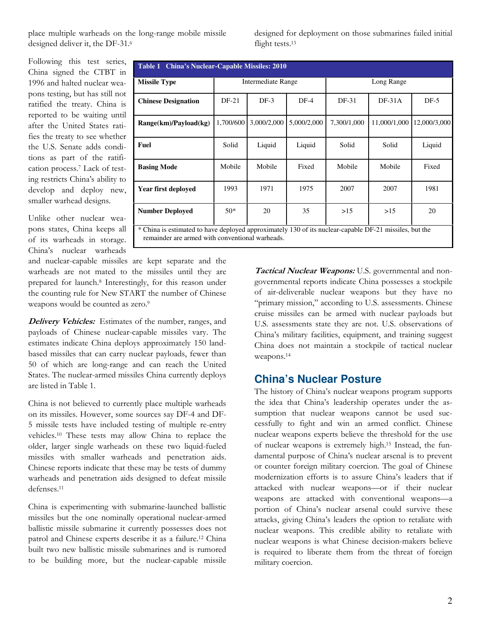place multiple warheads on the long-range mobile missile designed deliver it, the DF-31.<sup>6</sup>

designed for deployment on those submarines failed initial flight tests.<sup>13</sup>

Following this test series, China signed the CTBT in 1996 and halted nuclear weapons testing, but has still not ratified the treaty. China is reported to be waiting until after the United States ratifies the treaty to see whether the U.S. Senate adds conditions as part of the ratification process.<sup>7</sup> Lack of testing restricts China's ability to develop and deploy new, smaller warhead designs.

| Table 1 China's Nuclear-Capable Missiles: 2010                                                         |                    |             |             |             |              |              |
|--------------------------------------------------------------------------------------------------------|--------------------|-------------|-------------|-------------|--------------|--------------|
| <b>Missile Type</b>                                                                                    | Intermediate Range |             |             | Long Range  |              |              |
| <b>Chinese Designation</b>                                                                             | $DF-21$            | $DF-3$      | $DF-4$      | DF-31       | $DF-31A$     | $DF-5$       |
| Range(km)/Payload(kg)                                                                                  | 1,700/600          | 3,000/2,000 | 5,000/2,000 | 7,300/1,000 | 11,000/1,000 | 12,000/3,000 |
| <b>Fuel</b>                                                                                            | Solid              | Liquid      | Liquid      | Solid       | Solid        | Liquid       |
| <b>Basing Mode</b>                                                                                     | Mobile             | Mobile      | Fixed       | Mobile      | Mobile       | Fixed        |
| Year first deploved                                                                                    | 1993               | 1971        | 1975        | 2007        | 2007         | 1981         |
| <b>Number Deployed</b>                                                                                 | $50*$              | 20          | 35          | >15         | >15          | 20           |
| * China is estimated to have deployed approximately 130 of its nuclear-capable DF-21 missiles, but the |                    |             |             |             |              |              |

Unlike other nuclear weapons states, China keeps all of its warheads in storage. China's nuclear warheads

and nuclear-capable missiles are kept separate and the warheads are not mated to the missiles until they are prepared for launch.<sup>8</sup> Interestingly, for this reason under the counting rule for New START the number of Chinese weapons would be counted as zero.<sup>9</sup>

remainder are armed with conventional warheads.

Delivery Vehicles: Estimates of the number, ranges, and payloads of Chinese nuclear-capable missiles vary. The estimates indicate China deploys approximately 150 landbased missiles that can carry nuclear payloads, fewer than 50 of which are long-range and can reach the United States. The nuclear-armed missiles China currently deploys are listed in Table 1.

China is not believed to currently place multiple warheads on its missiles. However, some sources say DF-4 and DF-5 missile tests have included testing of multiple re-entry vehicles.10 These tests may allow China to replace the older, larger single warheads on these two liquid-fueled missiles with smaller warheads and penetration aids. Chinese reports indicate that these may be tests of dummy warheads and penetration aids designed to defeat missile defenses.<sup>11</sup>

China is experimenting with submarine-launched ballistic missiles but the one nominally operational nuclear-armed ballistic missile submarine it currently possesses does not patrol and Chinese experts describe it as a failure. <sup>12</sup> China built two new ballistic missile submarines and is rumored to be building more, but the nuclear-capable missile

Tactical Nuclear Weapons: U.S. governmental and nongovernmental reports indicate China possesses a stockpile of air-deliverable nuclear weapons but they have no "primary mission," according to U.S. assessments. Chinese cruise missiles can be armed with nuclear payloads but U.S. assessments state they are not. U.S. observations of China's military facilities, equipment, and training suggest China does not maintain a stockpile of tactical nuclear weapons.<sup>14</sup>

## **China's Nuclear Posture**

The history of China's nuclear weapons program supports the idea that China's leadership operates under the assumption that nuclear weapons cannot be used successfully to fight and win an armed conflict. Chinese nuclear weapons experts believe the threshold for the use of nuclear weapons is extremely high.15 Instead, the fundamental purpose of China's nuclear arsenal is to prevent or counter foreign military coercion. The goal of Chinese modernization efforts is to assure China's leaders that if attacked with nuclear weapons—or if their nuclear weapons are attacked with conventional weapons—a portion of China's nuclear arsenal could survive these attacks, giving China's leaders the option to retaliate with nuclear weapons. This credible ability to retaliate with nuclear weapons is what Chinese decision-makers believe is required to liberate them from the threat of foreign military coercion.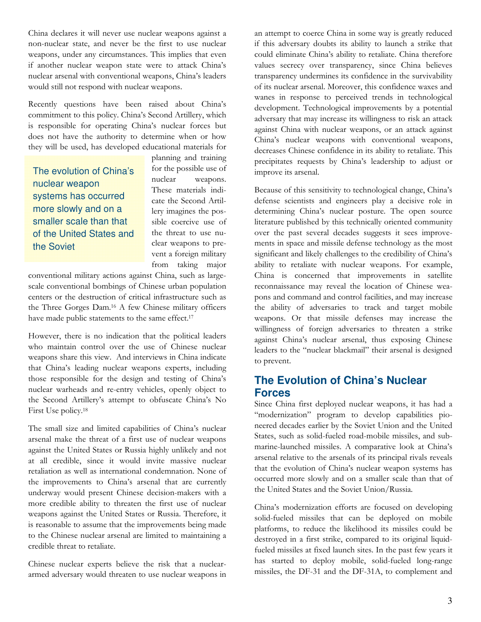China declares it will never use nuclear weapons against a non-nuclear state, and never be the first to use nuclear weapons, under any circumstances. This implies that even if another nuclear weapon state were to attack China's nuclear arsenal with conventional weapons, China's leaders would still not respond with nuclear weapons.

Recently questions have been raised about China's commitment to this policy. China's Second Artillery, which is responsible for operating China's nuclear forces but does not have the authority to determine when or how they will be used, has developed educational materials for

The evolution of China's nuclear weapon systems has occurred more slowly and on a smaller scale than that of the United States and the Soviet

planning and training for the possible use of nuclear weapons. These materials indicate the Second Artillery imagines the possible coercive use of the threat to use nuclear weapons to prevent a foreign military from taking major

conventional military actions against China, such as largescale conventional bombings of Chinese urban population centers or the destruction of critical infrastructure such as the Three Gorges Dam.16 A few Chinese military officers have made public statements to the same effect.<sup>17</sup>

However, there is no indication that the political leaders who maintain control over the use of Chinese nuclear weapons share this view. And interviews in China indicate that China's leading nuclear weapons experts, including those responsible for the design and testing of China's nuclear warheads and re-entry vehicles, openly object to the Second Artillery's attempt to obfuscate China's No First Use policy.<sup>18</sup>

The small size and limited capabilities of China's nuclear arsenal make the threat of a first use of nuclear weapons against the United States or Russia highly unlikely and not at all credible, since it would invite massive nuclear retaliation as well as international condemnation. None of the improvements to China's arsenal that are currently underway would present Chinese decision-makers with a more credible ability to threaten the first use of nuclear weapons against the United States or Russia. Therefore, it is reasonable to assume that the improvements being made to the Chinese nuclear arsenal are limited to maintaining a credible threat to retaliate.

Chinese nuclear experts believe the risk that a nucleararmed adversary would threaten to use nuclear weapons in an attempt to coerce China in some way is greatly reduced if this adversary doubts its ability to launch a strike that could eliminate China's ability to retaliate. China therefore values secrecy over transparency, since China believes transparency undermines its confidence in the survivability of its nuclear arsenal. Moreover, this confidence waxes and wanes in response to perceived trends in technological development. Technological improvements by a potential adversary that may increase its willingness to risk an attack against China with nuclear weapons, or an attack against China's nuclear weapons with conventional weapons, decreases Chinese confidence in its ability to retaliate. This precipitates requests by China's leadership to adjust or improve its arsenal.

Because of this sensitivity to technological change, China's defense scientists and engineers play a decisive role in determining China's nuclear posture. The open source literature published by this technically oriented community over the past several decades suggests it sees improvements in space and missile defense technology as the most significant and likely challenges to the credibility of China's ability to retaliate with nuclear weapons. For example, China is concerned that improvements in satellite reconnaissance may reveal the location of Chinese weapons and command and control facilities, and may increase the ability of adversaries to track and target mobile weapons. Or that missile defenses may increase the willingness of foreign adversaries to threaten a strike against China's nuclear arsenal, thus exposing Chinese leaders to the "nuclear blackmail" their arsenal is designed to prevent.

## **The Evolution of China's Nuclear Forces**

Since China first deployed nuclear weapons, it has had a "modernization" program to develop capabilities pioneered decades earlier by the Soviet Union and the United States, such as solid-fueled road-mobile missiles, and submarine-launched missiles. A comparative look at China's arsenal relative to the arsenals of its principal rivals reveals that the evolution of China's nuclear weapon systems has occurred more slowly and on a smaller scale than that of the United States and the Soviet Union/Russia.

China's modernization efforts are focused on developing solid-fueled missiles that can be deployed on mobile platforms, to reduce the likelihood its missiles could be destroyed in a first strike, compared to its original liquidfueled missiles at fixed launch sites. In the past few years it has started to deploy mobile, solid-fueled long-range missiles, the DF-31 and the DF-31A, to complement and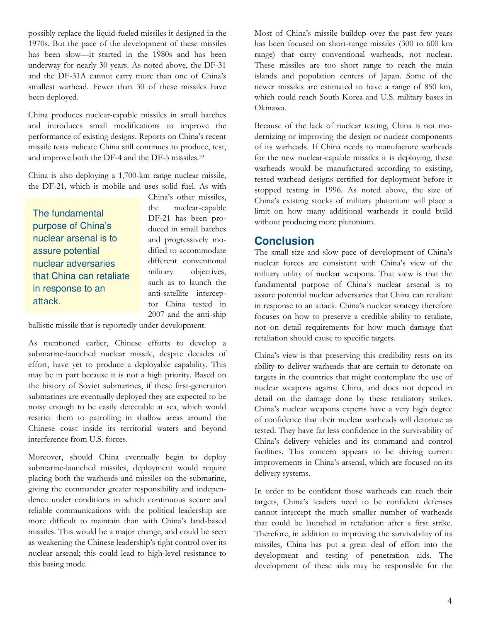possibly replace the liquid-fueled missiles it designed in the 1970s. But the pace of the development of these missiles has been slow—it started in the 1980s and has been underway for nearly 30 years. As noted above, the DF-31 and the DF-31A cannot carry more than one of China's smallest warhead. Fewer than 30 of these missiles have been deployed.

China produces nuclear-capable missiles in small batches and introduces small modifications to improve the performance of existing designs. Reports on China's recent missile tests indicate China still continues to produce, test, and improve both the DF-4 and the DF-5 missiles.<sup>19</sup>

China is also deploying a 1,700-km range nuclear missile, the DF-21, which is mobile and uses solid fuel. As with

The fundamental purpose of China's nuclear arsenal is to assure potential nuclear adversaries that China can retaliate in response to an attack.

China's other missiles, the nuclear-capable DF-21 has been produced in small batches and progressively modified to accommodate different conventional military objectives, such as to launch the anti-satellite interceptor China tested in 2007 and the anti-ship

ballistic missile that is reportedly under development.

As mentioned earlier, Chinese efforts to develop a submarine-launched nuclear missile, despite decades of effort, have yet to produce a deployable capability. This may be in part because it is not a high priority. Based on the history of Soviet submarines, if these first-generation submarines are eventually deployed they are expected to be noisy enough to be easily detectable at sea, which would restrict them to patrolling in shallow areas around the Chinese coast inside its territorial waters and beyond interference from U.S. forces.

Moreover, should China eventually begin to deploy submarine-launched missiles, deployment would require placing both the warheads and missiles on the submarine, giving the commander greater responsibility and independence under conditions in which continuous secure and reliable communications with the political leadership are more difficult to maintain than with China's land-based missiles. This would be a major change, and could be seen as weakening the Chinese leadership's tight control over its nuclear arsenal; this could lead to high-level resistance to this basing mode.

Most of China's missile buildup over the past few years has been focused on short-range missiles (300 to 600 km range) that carry conventional warheads, not nuclear. These missiles are too short range to reach the main islands and population centers of Japan. Some of the newer missiles are estimated to have a range of 850 km, which could reach South Korea and U.S. military bases in Okinawa.

Because of the lack of nuclear testing, China is not modernizing or improving the design or nuclear components of its warheads. If China needs to manufacture warheads for the new nuclear-capable missiles it is deploying, these warheads would be manufactured according to existing, tested warhead designs certified for deployment before it stopped testing in 1996. As noted above, the size of China's existing stocks of military plutonium will place a limit on how many additional warheads it could build without producing more plutonium.

#### **Conclusion**

The small size and slow pace of development of China's nuclear forces are consistent with China's view of the military utility of nuclear weapons. That view is that the fundamental purpose of China's nuclear arsenal is to assure potential nuclear adversaries that China can retaliate in response to an attack. China's nuclear strategy therefore focuses on how to preserve a credible ability to retaliate, not on detail requirements for how much damage that retaliation should cause to specific targets.

China's view is that preserving this credibility rests on its ability to deliver warheads that are certain to detonate on targets in the countries that might contemplate the use of nuclear weapons against China, and does not depend in detail on the damage done by these retaliatory strikes. China's nuclear weapons experts have a very high degree of confidence that their nuclear warheads will detonate as tested. They have far less confidence in the survivability of China's delivery vehicles and its command and control facilities. This concern appears to be driving current improvements in China's arsenal, which are focused on its delivery systems.

In order to be confident those warheads can reach their targets, China's leaders need to be confident defenses cannot intercept the much smaller number of warheads that could be launched in retaliation after a first strike. Therefore, in addition to improving the survivability of its missiles, China has put a great deal of effort into the development and testing of penetration aids. The development of these aids may be responsible for the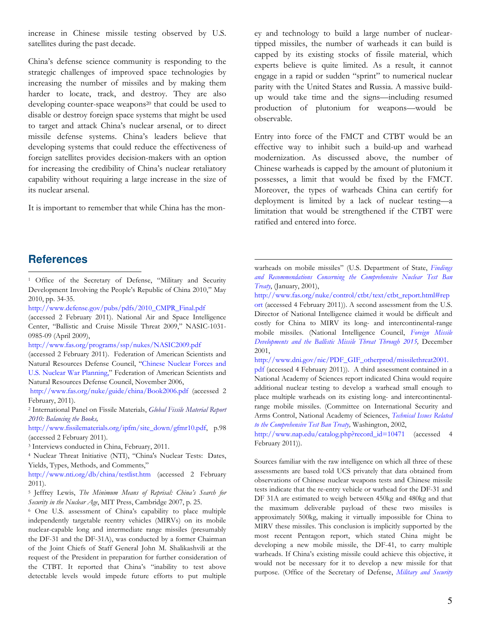increase in Chinese missile testing observed by U.S. satellites during the past decade.

China's defense science community is responding to the strategic challenges of improved space technologies by increasing the number of missiles and by making them harder to locate, track, and destroy. They are also developing counter-space weapons<sup>20</sup> that could be used to disable or destroy foreign space systems that might be used to target and attack China's nuclear arsenal, or to direct missile defense systems. China's leaders believe that developing systems that could reduce the effectiveness of foreign satellites provides decision-makers with an option for increasing the credibility of China's nuclear retaliatory capability without requiring a large increase in the size of its nuclear arsenal.

It is important to remember that while China has the mon-

ey and technology to build a large number of nucleartipped missiles, the number of warheads it can build is capped by its existing stocks of fissile material, which experts believe is quite limited. As a result, it cannot engage in a rapid or sudden "sprint" to numerical nuclear parity with the United States and Russia. A massive buildup would take time and the signs—including resumed production of plutonium for weapons—would be observable.

Entry into force of the FMCT and CTBT would be an effective way to inhibit such a build-up and warhead modernization. As discussed above, the number of Chinese warheads is capped by the amount of plutonium it possesses, a limit that would be fixed by the FMCT. Moreover, the types of warheads China can certify for deployment is limited by a lack of nuclear testing—a limitation that would be strengthened if the CTBT were ratified and entered into force.

#### **References**

 $\overline{a}$ 

<sup>1</sup> Office of the Secretary of Defense, "Military and Security Development Involving the People's Republic of China 2010," May 2010, pp. 34-35.

http://www.defense.gov/pubs/pdfs/2010\_CMPR\_Final.pdf

(accessed 2 February 2011). National Air and Space Intelligence Center, "Ballistic and Cruise Missile Threat 2009," NASIC-1031- 0985-09 (April 2009),

http://www.fas.org/programs/ssp/nukes/NASIC2009.pdf

(accessed 2 February 2011). Federation of American Scientists and Natural Resources Defense Council, "Chinese Nuclear Forces and U.S. Nuclear War Planning," Federation of American Scientists and Natural Resources Defense Council, November 2006,

http://www.fas.org/nuke/guide/china/Book2006.pdf (accessed 2 February, 2011).

<sup>2</sup> International Panel on Fissile Materials, Global Fissile Material Report 2010: Balancing the Books,

http://www.fissilematerials.org/ipfm/site\_down/gfmr10.pdf, p.98 (accessed 2 February 2011).

<sup>3</sup> Interviews conducted in China, February, 2011.

<sup>4</sup> Nuclear Threat Initiative (NTI), "China's Nuclear Tests: Dates, Yields, Types, Methods, and Comments,"

http://www.nti.org/db/china/testlist.htm (accessed 2 February 2011).

<sup>5</sup> Jeffrey Lewis, The Minimum Means of Reprisal: China's Search for Security in the Nuclear Age, MIT Press, Cambridge 2007, p. 25.

<sup>6</sup> One U.S. assessment of China's capability to place multiple independently targetable reentry vehicles (MIRVs) on its mobile nuclear-capable long and intermediate range missiles (presumably the DF-31 and the DF-31A), was conducted by a former Chairman of the Joint Chiefs of Staff General John M. Shalikashvili at the request of the President in preparation for further consideration of the CTBT. It reported that China's "inability to test above detectable levels would impede future efforts to put multiple

warheads on mobile missiles" (U.S. Department of State, Findings and Recommendations Concerning the Comprehensive Nuclear Test Ban Treaty, (January, 2001),

-

http://www.fas.org/nuke/control/ctbt/text/ctbt\_report.html#rep ort (accessed 4 February 2011)). A second assessment from the U.S. Director of National Intelligence claimed it would be difficult and costly for China to MIRV its long- and intercontinental-range mobile missiles. (National Intelligence Council, Foreign Missile Developments and the Ballistic Missile Threat Through 2015, December 2001,

http://www.dni.gov/nic/PDF\_GIF\_otherprod/missilethreat2001.

pdf (accessed 4 February 2011)). A third assessment contained in a National Academy of Sciences report indicated China would require additional nuclear testing to develop a warhead small enough to place multiple warheads on its existing long- and intercontinentalrange mobile missiles. (Committee on International Security and Arms Control, National Academy of Sciences, Technical Issues Related to the Comprehensive Test Ban Treaty, Washington, 2002,

http://www.nap.edu/catalog.php?record\_id=10471 (accessed 4 February 2011)).

Sources familiar with the raw intelligence on which all three of these assessments are based told UCS privately that data obtained from observations of Chinese nuclear weapons tests and Chinese missile tests indicate that the re-entry vehicle or warhead for the DF-31 and DF 31A are estimated to weigh between 450kg and 480kg and that the maximum deliverable payload of these two missiles is approximately 500kg, making it virtually impossible for China to MIRV these missiles. This conclusion is implicitly supported by the most recent Pentagon report, which stated China might be developing a new mobile missile, the DF-41, to carry multiple warheads. If China's existing missile could achieve this objective, it would not be necessary for it to develop a new missile for that purpose. (Office of the Secretary of Defense, Military and Security